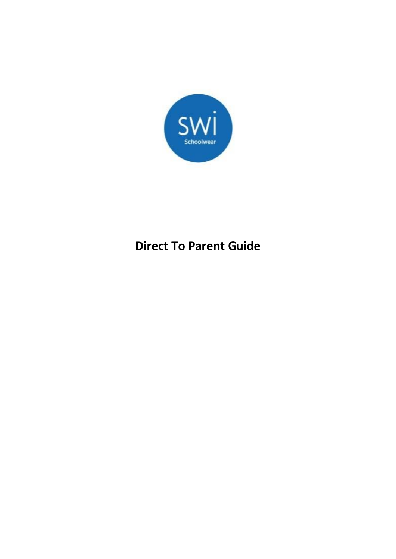

# **Direct To Parent Guide**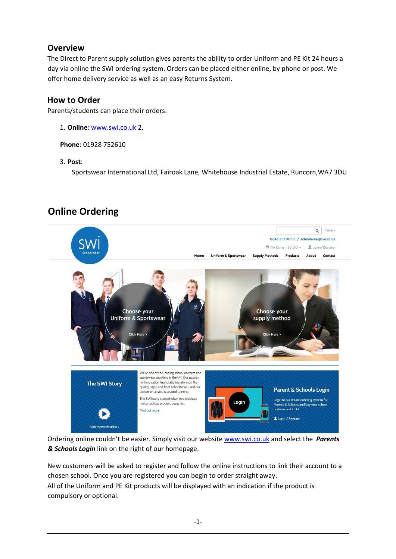# **Overview**

The Direct to Parent supply solution gives parents the ability to order Uniform and PE Kit 24 hours a day via online the SWI ordering system. Orders can be placed either online, by phone or post. We offer home delivery service as well as an easy Returns System.

## **How to Order**

Parents/students can place their orders:

1. **Online**: [www.swi.co.uk](http://www.swi.co.uk/) [2](http://www.swi.co.uk/).

**Phone**: 01928 752610

#### 3. **Post**:

Sportswear International Ltd, Fairoak Lane, Whitehouse Industrial Estate, Runcorn,WA7 3DU

# **Online Ordering**



Ordering online couldn't be easier. Simply visit our website [www.swi.co.uk](http://www.swi.co.uk/) [a](http://www.swi.co.uk/)nd select the *Parents & Schools Login* link on the right of our homepage.

New customers will be asked to register and follow the online instructions to link their account to a chosen school. Once you are registered you can begin to order straight away. All of the Uniform and PE Kit products will be displayed with an indication if the product is compulsory or optional.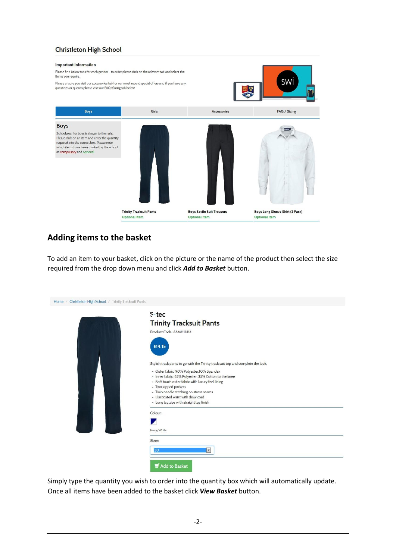#### **Christleton High School**

#### Important Information

Please find below tabs for each gender - to order please click on the relevant tab and select the items you require.

Please ensure you visit our accessories tab for our most recent special offers and if you have any

| questions or queries please visit our FAQ/Sizing tab below                                                                                                                                                                             |                                                 |                                                   |                                                         |
|----------------------------------------------------------------------------------------------------------------------------------------------------------------------------------------------------------------------------------------|-------------------------------------------------|---------------------------------------------------|---------------------------------------------------------|
| Boys                                                                                                                                                                                                                                   | Girls                                           | Accessories                                       | FAQ / Sizing                                            |
| <b>Boys</b><br>Schoolwear for boys is shown to the right.<br>Please click on an item and enter the quantity<br>required into the correct box. Please note<br>which items have been marked by the school<br>as compulsory and optional. |                                                 |                                                   |                                                         |
|                                                                                                                                                                                                                                        | <b>Trinity Tracksuit Pants</b><br>Optional Item | <b>Boys Savile Suit Trousers</b><br>Optional Item | Boys Long Sleeve Shirt (2 Pack)<br><b>Optional Item</b> |

swi

# **Adding items to the basket**

To add an item to your basket, click on the picture or the name of the product then select the size required from the drop down menu and click *Add to Basket* button.

| $S$ -tec<br><b>Trinity Tracksuit Pants</b><br>Product Code: AAAA111414<br>£14.15<br>Stylish track pants to go with the Trinity track suit top and complete the look.<br>• Outer fabric: 90% Polyester, 10% Spandex |
|--------------------------------------------------------------------------------------------------------------------------------------------------------------------------------------------------------------------|
|                                                                                                                                                                                                                    |
|                                                                                                                                                                                                                    |
|                                                                                                                                                                                                                    |
|                                                                                                                                                                                                                    |
|                                                                                                                                                                                                                    |
|                                                                                                                                                                                                                    |
|                                                                                                                                                                                                                    |
|                                                                                                                                                                                                                    |
|                                                                                                                                                                                                                    |
| · Inner fabric: 65% Polyester, 35% Cotton to the knee<br>• Soft touch outer fabric with luxury feel lining                                                                                                         |
| • Two zipped pockets                                                                                                                                                                                               |
| • Twin needle stitching on stress seams                                                                                                                                                                            |
| · Elasticated waist with draw cord                                                                                                                                                                                 |
| • Long leg zips with straight leg finish                                                                                                                                                                           |
| Colour:                                                                                                                                                                                                            |
|                                                                                                                                                                                                                    |
|                                                                                                                                                                                                                    |
| Navy/White                                                                                                                                                                                                         |
| Sizes:                                                                                                                                                                                                             |
| 30<br>$\blacktriangledown$                                                                                                                                                                                         |

Simply type the quantity you wish to order into the quantity box which will automatically update. Once all items have been added to the basket click *View Basket* button.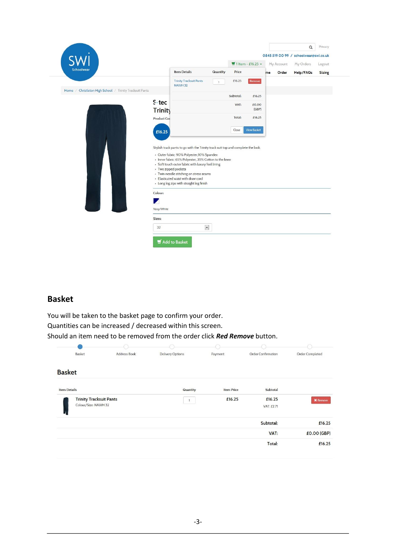| Schoolwear                                               |                      |                                                                                  |              |           | $\blacktriangleright$ 1 Item - £16.25 + |    | My Account | My Orders | Logout        |
|----------------------------------------------------------|----------------------|----------------------------------------------------------------------------------|--------------|-----------|-----------------------------------------|----|------------|-----------|---------------|
|                                                          |                      | <b>Item Details</b>                                                              | Quantity     | Price     |                                         | me | Order      | Help/FAQs | <b>Sizing</b> |
|                                                          |                      | <b>Trinity Tracksuit Pants</b>                                                   | $\mathbf{1}$ | £16.25    | Remove                                  |    |            |           |               |
| Home / Christleton High School / Trinity Tracksuit Pants |                      | <b>NAWH 32</b>                                                                   |              |           |                                         |    |            |           |               |
|                                                          |                      |                                                                                  |              | Subtotal: | £16.25                                  |    |            |           |               |
|                                                          | S-tec                |                                                                                  |              | VAT:      | £0.00                                   |    |            |           |               |
|                                                          | <b>Trinity</b>       |                                                                                  |              |           | (GBP)                                   |    |            |           |               |
|                                                          |                      |                                                                                  |              | Total:    | £16.25                                  |    |            |           |               |
|                                                          | Product Coc          |                                                                                  |              |           |                                         |    |            |           |               |
|                                                          |                      |                                                                                  |              | Close     | <b>View Basket</b>                      |    |            |           |               |
|                                                          | £16.25               |                                                                                  |              |           |                                         |    |            |           |               |
|                                                          |                      |                                                                                  |              |           |                                         |    |            |           |               |
|                                                          |                      | Stylish track pants to go with the Trinity track suit top and complete the look. |              |           |                                         |    |            |           |               |
|                                                          |                      | · Outer fabric: 90% Polyester, 10% Spandex                                       |              |           |                                         |    |            |           |               |
|                                                          |                      | • Inner fabric: 65% Polyester, 35% Cotton to the knee                            |              |           |                                         |    |            |           |               |
|                                                          |                      | · Soft touch outer fabric with luxury feel lining                                |              |           |                                         |    |            |           |               |
|                                                          | • Two zipped pockets |                                                                                  |              |           |                                         |    |            |           |               |
|                                                          |                      | • Twin needle stitching on stress seams<br>- Elasticated waist with draw cord    |              |           |                                         |    |            |           |               |
|                                                          |                      | • Long leg zips with straight leg finish                                         |              |           |                                         |    |            |           |               |
|                                                          |                      |                                                                                  |              |           |                                         |    |            |           |               |
|                                                          | Colour:              |                                                                                  |              |           |                                         |    |            |           |               |
|                                                          |                      |                                                                                  |              |           |                                         |    |            |           |               |
|                                                          | z                    |                                                                                  |              |           |                                         |    |            |           |               |
|                                                          |                      |                                                                                  |              |           |                                         |    |            |           |               |
|                                                          | Navy/White           |                                                                                  |              |           |                                         |    |            |           |               |
|                                                          | Sizes:               |                                                                                  |              |           |                                         |    |            |           |               |

### **Basket**

You will be taken to the basket page to confirm your order. Quantities can be increased / decreased within this screen. Should an item need to be removed from the order click *Red Remove* button.

| Order Confirmation |                   |                         |              |                                |
|--------------------|-------------------|-------------------------|--------------|--------------------------------|
|                    | Payment           | <b>Delivery Options</b> | Address Book | Basket                         |
|                    |                   |                         |              | <b>Basket</b>                  |
| Subtotal           | <b>Item Price</b> | Quantity                |              | <b>Item Details</b>            |
| £16.25             | £16.25            |                         |              | <b>Trinity Tracksuit Pants</b> |
| VAT: £2.71         |                   |                         |              | Colour/Size: NAWH 32           |
| Subtotal:          |                   |                         |              |                                |
| VAT:               |                   |                         |              |                                |
| Total:             |                   |                         |              |                                |
|                    |                   |                         |              |                                |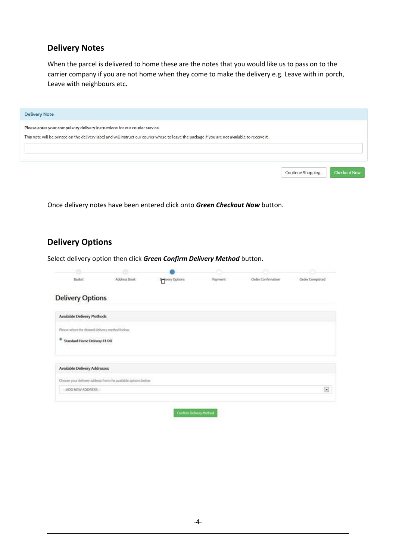### **Delivery Notes**

When the parcel is delivered to home these are the notes that you would like us to pass on to the carrier company if you are not home when they come to make the delivery e.g. Leave with in porch, Leave with neighbours etc.

| <b>Delivery Note</b>                                                                                                                                                                                                            |                   |                     |
|---------------------------------------------------------------------------------------------------------------------------------------------------------------------------------------------------------------------------------|-------------------|---------------------|
| Please enter your compulsory delivery instructions for our courier service.<br>This note will be printed on the delivery label and will instruct our courier where to leave the package if you are not available to receive it. |                   |                     |
|                                                                                                                                                                                                                                 | Continue Shopping | <b>Checkout Now</b> |

Once delivery notes have been entered click onto *Green Checkout Now* button.

# **Delivery Options**

Select delivery option then click *Green Confirm Delivery Method* button.

| Basket                                           | Address Book                                                   | <b>Privery Options</b> | Payment | Order Confirmation | <b>Order Completed</b> |
|--------------------------------------------------|----------------------------------------------------------------|------------------------|---------|--------------------|------------------------|
| <b>Delivery Options</b>                          |                                                                |                        |         |                    |                        |
| Available Delivery Methods                       |                                                                |                        |         |                    |                        |
| Please select the desired delivery method below. |                                                                |                        |         |                    |                        |
| ٠<br>Standard Home Delivery £4.00                |                                                                |                        |         |                    |                        |
| Available Delivery Addresses                     |                                                                |                        |         |                    |                        |
|                                                  | Choose your delivery address from the available options below: |                        |         |                    |                        |
|                                                  |                                                                |                        |         |                    | $\boxed{2}$            |

Confirm Delivery Method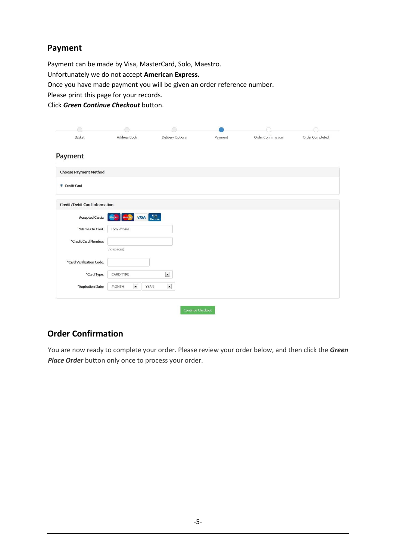# **Payment**

Payment can be made by Visa, MasterCard, Solo, Maestro. Unfortunately we do not accept **American Express.** Once you have made payment you will be given an order reference number. Please print this page for your records. Click *Green Continue Checkout* button.

| Basket                        | Address Book                             | Delivery Options                 | Payment | Order Confirmation | Order Completed |
|-------------------------------|------------------------------------------|----------------------------------|---------|--------------------|-----------------|
| Payment                       |                                          |                                  |         |                    |                 |
| <b>Choose Payment Method</b>  |                                          |                                  |         |                    |                 |
| Credit Card                   |                                          |                                  |         |                    |                 |
| Credit/Debit Card Information |                                          |                                  |         |                    |                 |
| <b>Accepted Cards:</b>        | <b>VISA</b>                              | VISA<br>Electron                 |         |                    |                 |
| *Name On Card:                | Tom Potkins                              |                                  |         |                    |                 |
| *Credit Card Number:          |                                          |                                  |         |                    |                 |
|                               | (no spaces)                              |                                  |         |                    |                 |
| *Card Verification Code:      |                                          |                                  |         |                    |                 |
| *Card Type:                   | CARD TYPE                                | $\overline{\phantom{a}}$         |         |                    |                 |
| *Expiration Date:             | $\overline{\phantom{a}}$<br><b>MONTH</b> | $\overline{\phantom{a}}$<br>YEAR |         |                    |                 |
|                               |                                          |                                  |         |                    |                 |

# **Order Confirmation**

You are now ready to complete your order. Please review your order below, and then click the *Green Place Order* button only once to process your order.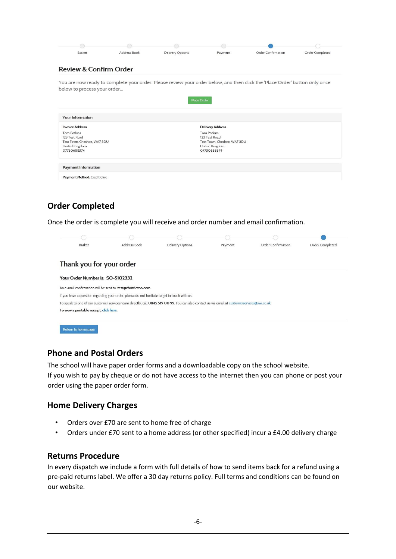|                              | Address Book | <b>Delivery Options</b> | Payment                      | <b>Order Confirmation</b>                                                                                                   | Order Completed |
|------------------------------|--------------|-------------------------|------------------------------|-----------------------------------------------------------------------------------------------------------------------------|-----------------|
| Review & Confirm Order       |              |                         |                              |                                                                                                                             |                 |
|                              |              |                         |                              | You are now ready to complete your order. Please review your order below, and then click the 'Place Order' button only once |                 |
| below to process your order  |              |                         |                              |                                                                                                                             |                 |
|                              |              | <b>Place Order</b>      |                              |                                                                                                                             |                 |
|                              |              |                         |                              |                                                                                                                             |                 |
|                              |              |                         |                              |                                                                                                                             |                 |
| <b>Your Information</b>      |              |                         |                              |                                                                                                                             |                 |
| <b>Invoice Address</b>       |              |                         | <b>Delivery Address</b>      |                                                                                                                             |                 |
| <b>Tom Potkins</b>           |              |                         | <b>Tom Potkins</b>           |                                                                                                                             |                 |
| 123 Test Road                |              |                         | 123 Test Road                |                                                                                                                             |                 |
| Test Town, Cheshire, WA7 3DU |              |                         | Test Town, Cheshire, WA7 3DU |                                                                                                                             |                 |
| United Kingdom               |              |                         | United Kingdom               |                                                                                                                             |                 |
| 07730688374                  |              |                         | 07730688374                  |                                                                                                                             |                 |
|                              |              |                         |                              |                                                                                                                             |                 |
| <b>Payment Information</b>   |              |                         |                              |                                                                                                                             |                 |
| Payment Method: Credit Card  |              |                         |                              |                                                                                                                             |                 |

# **Order Completed**

Once the order is complete you will receive and order number and email confirmation.

| Basket                                                        | <b>Address Book</b>                                                                          | <b>Delivery Options</b>                                                                                                                       | Payment | Order Confirmation | Order Completed |
|---------------------------------------------------------------|----------------------------------------------------------------------------------------------|-----------------------------------------------------------------------------------------------------------------------------------------------|---------|--------------------|-----------------|
| Thank you for your order                                      |                                                                                              |                                                                                                                                               |         |                    |                 |
| Your Order Number is: SO-5102332                              |                                                                                              |                                                                                                                                               |         |                    |                 |
|                                                               |                                                                                              |                                                                                                                                               |         |                    |                 |
|                                                               |                                                                                              |                                                                                                                                               |         |                    |                 |
|                                                               | If you have a question regarding your order, please do not hesitate to get in touch with us. |                                                                                                                                               |         |                    |                 |
| An e-mail confirmation will be sent to: test@christleton.com. |                                                                                              | To speak to one of our customer services team directly, call 0845 519 00 99. You can also contact us via email at customerservices@swi.co.uk. |         |                    |                 |

### **Phone and Postal Orders**

The school will have paper order forms and a downloadable copy on the school website. If you wish to pay by cheque or do not have access to the internet then you can phone or post your order using the paper order form.

### **Home Delivery Charges**

- Orders over £70 are sent to home free of charge
- Orders under £70 sent to a home address (or other specified) incur a £4.00 delivery charge

#### **Returns Procedure**

In every dispatch we include a form with full details of how to send items back for a refund using a pre-paid returns label. We offer a 30 day returns policy. Full terms and conditions can be found on our website.